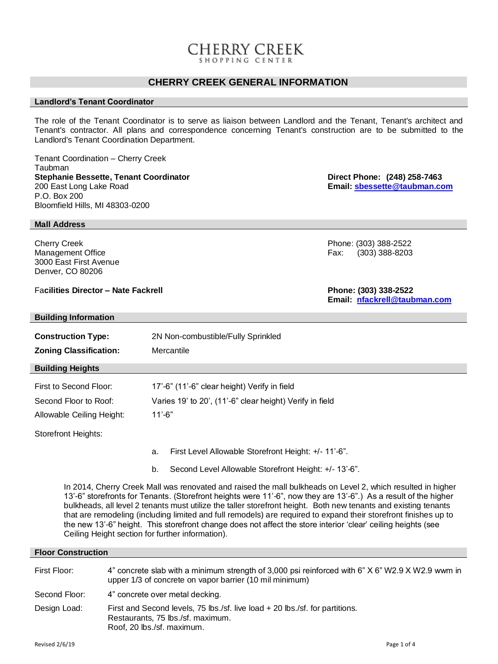## CHERRY CREEK

## **CHERRY CREEK GENERAL INFORMATION**

#### **Landlord's Tenant Coordinator**

The role of the Tenant Coordinator is to serve as liaison between Landlord and the Tenant, Tenant's architect and Tenant's contractor. All plans and correspondence concerning Tenant's construction are to be submitted to the Landlord's Tenant Coordination Department.

Tenant Coordination – Cherry Creek Taubman **Stephanie Bessette, Tenant Coordinator Direct Phone: (248) 258-7463**<br>200 East Long Lake Road **Direction Coordinator Direction Coordinates Email: <u>sbessette</u>@taubman.co** P.O. Box 200 Bloomfield Hills, MI 48303-0200

**Mall Address**

3000 East First Avenue Denver, CO 80206

**Building Information**

Fa**cilities Director – Nate Fackrell Phone: (303) 338-2522**

| <b>Construction Type:</b>                                                                                   | 2N Non-combustible/Fully Sprinkled                          |  |
|-------------------------------------------------------------------------------------------------------------|-------------------------------------------------------------|--|
| <b>Zoning Classification:</b>                                                                               | Mercantile                                                  |  |
| <b>Building Heights</b>                                                                                     |                                                             |  |
| First to Second Floor:                                                                                      | 17'-6" (11'-6" clear height) Verify in field                |  |
| Second Floor to Roof:                                                                                       | Varies 19' to 20', (11'-6" clear height) Verify in field    |  |
| Allowable Ceiling Height:                                                                                   | $11' - 6"$                                                  |  |
| <b>Storefront Heights:</b>                                                                                  |                                                             |  |
|                                                                                                             | First Level Allowable Storefront Height: +/- 11'-6".<br>a.  |  |
|                                                                                                             | Second Level Allowable Storefront Height: +/- 13'-6".<br>b. |  |
| In 2014, Cherry Creek Mall was renovated and raised the mall bulkheads on Level 2, which resulted in higher |                                                             |  |

13'-6" storefronts for Tenants. (Storefront heights were 11'-6", now they are 13'-6".) As a result of the higher bulkheads, all level 2 tenants must utilize the taller storefront height. Both new tenants and existing tenants that are remodeling (including limited and full remodels) are required to expand their storefront finishes up to the new 13'-6" height. This storefront change does not affect the store interior 'clear' ceiling heights (see Ceiling Height section for further information).

#### **Floor Construction**

| First Floor:  | 4" concrete slab with a minimum strength of 3,000 psi reinforced with 6" X 6" W2.9 X W2.9 wwm in<br>upper 1/3 of concrete on vapor barrier (10 mil minimum) |
|---------------|-------------------------------------------------------------------------------------------------------------------------------------------------------------|
| Second Floor: | 4" concrete over metal decking.                                                                                                                             |
| Design Load:  | First and Second levels, 75 lbs./sf. live load + 20 lbs./sf. for partitions.<br>Restaurants, 75 lbs./sf. maximum.<br>Roof, 20 lbs./sf. maximum.             |

Cherry Creek Phone: (303) 388-2522 Management Office **Fax: (303) 388-8203** 

**Email: [nfackrell@taubman.com](mailto:nfackrell@taubman.com)**

Email: **[sbessette@taubman.com](mailto:sbessette@taubman.com)**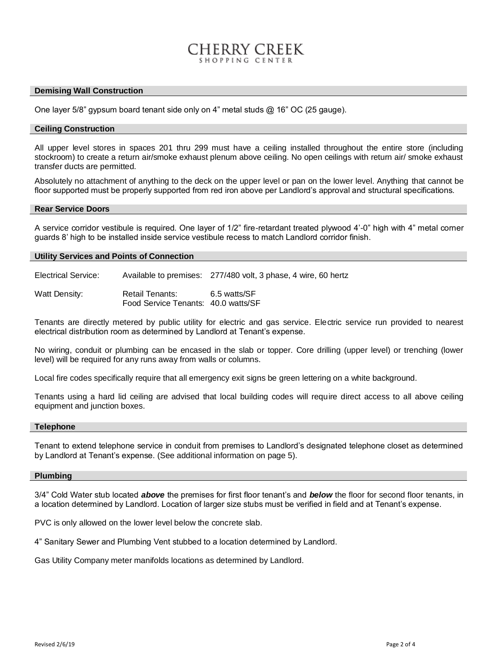#### **Demising Wall Construction**

One layer 5/8" gypsum board tenant side only on 4" metal studs @ 16" OC (25 gauge).

#### **Ceiling Construction**

All upper level stores in spaces 201 thru 299 must have a ceiling installed throughout the entire store (including stockroom) to create a return air/smoke exhaust plenum above ceiling. No open ceilings with return air/ smoke exhaust transfer ducts are permitted.

HERRY CREEK

Absolutely no attachment of anything to the deck on the upper level or pan on the lower level. Anything that cannot be floor supported must be properly supported from red iron above per Landlord's approval and structural specifications.

#### **Rear Service Doors**

A service corridor vestibule is required. One layer of 1/2" fire-retardant treated plywood 4'-0" high with 4" metal corner guards 8' high to be installed inside service vestibule recess to match Landlord corridor finish.

#### **Utility Services and Points of Connection**

Electrical Service: Available to premises: 277/480 volt, 3 phase, 4 wire, 60 hertz

Watt Density: Retail Tenants: 6.5 watts/SF Food Service Tenants: 40.0 watts/SF

Tenants are directly metered by public utility for electric and gas service. Electric service run provided to nearest electrical distribution room as determined by Landlord at Tenant's expense.

No wiring, conduit or plumbing can be encased in the slab or topper. Core drilling (upper level) or trenching (lower level) will be required for any runs away from walls or columns.

Local fire codes specifically require that all emergency exit signs be green lettering on a white background.

Tenants using a hard lid ceiling are advised that local building codes will require direct access to all above ceiling equipment and junction boxes.

#### **Telephone**

Tenant to extend telephone service in conduit from premises to Landlord's designated telephone closet as determined by Landlord at Tenant's expense. (See additional information on page 5).

#### **Plumbing**

3/4" Cold Water stub located *above* the premises for first floor tenant's and *below* the floor for second floor tenants, in a location determined by Landlord. Location of larger size stubs must be verified in field and at Tenant's expense.

PVC is only allowed on the lower level below the concrete slab.

4" Sanitary Sewer and Plumbing Vent stubbed to a location determined by Landlord.

Gas Utility Company meter manifolds locations as determined by Landlord.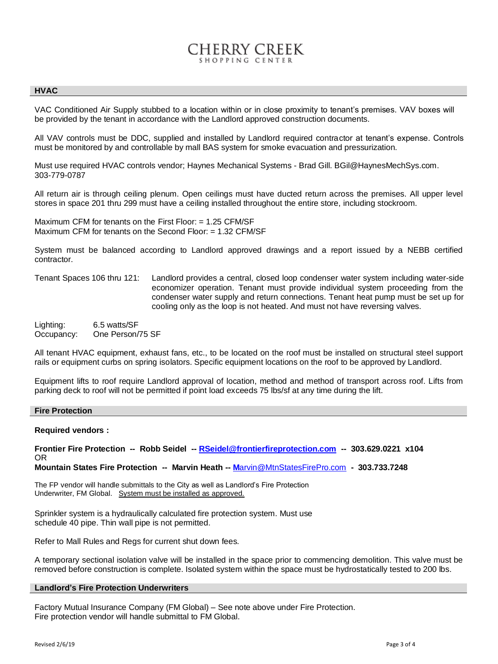# CHERRY CREEK

#### **HVAC**

VAC Conditioned Air Supply stubbed to a location within or in close proximity to tenant's premises. VAV boxes will be provided by the tenant in accordance with the Landlord approved construction documents.

All VAV controls must be DDC, supplied and installed by Landlord required contractor at tenant's expense. Controls must be monitored by and controllable by mall BAS system for smoke evacuation and pressurization.

Must use required HVAC controls vendor; Haynes Mechanical Systems - Brad Gill. BGil@HaynesMechSys.com. 303-779-0787

All return air is through ceiling plenum. Open ceilings must have ducted return across the premises. All upper level stores in space 201 thru 299 must have a ceiling installed throughout the entire store, including stockroom.

Maximum CFM for tenants on the First Floor: = 1.25 CFM/SF Maximum CFM for tenants on the Second Floor: = 1.32 CFM/SF

System must be balanced according to Landlord approved drawings and a report issued by a NEBB certified contractor.

Tenant Spaces 106 thru 121: Landlord provides a central, closed loop condenser water system including water-side economizer operation. Tenant must provide individual system proceeding from the condenser water supply and return connections. Tenant heat pump must be set up for cooling only as the loop is not heated. And must not have reversing valves.

Lighting: 6.5 watts/SF Occupancy: One Person/75 SF

All tenant HVAC equipment, exhaust fans, etc., to be located on the roof must be installed on structural steel support rails or equipment curbs on spring isolators. Specific equipment locations on the roof to be approved by Landlord.

Equipment lifts to roof require Landlord approval of location, method and method of transport across roof. Lifts from parking deck to roof will not be permitted if point load exceeds 75 lbs/sf at any time during the lift.

#### **Fire Protection**

#### **Required vendors :**

**Frontier Fire Protection -- Robb Seidel -- [RSeidel@frontierfireprotection.com](mailto:RSeidel@frontierfireprotection.com) -- 303.629.0221 x104** OR

**Mountain States Fire Protection -- Marvin Heath -- M**[arvin@MtnStatesFirePro.com](mailto:Marvin@MtnStatesFirePro.com) **- 303.733.7248**

The FP vendor will handle submittals to the City as well as Landlord's Fire Protection Underwriter, FM Global. System must be installed as approved.

Sprinkler system is a hydraulically calculated fire protection system. Must use schedule 40 pipe. Thin wall pipe is not permitted.

Refer to Mall Rules and Regs for current shut down fees.

A temporary sectional isolation valve will be installed in the space prior to commencing demolition. This valve must be removed before construction is complete. Isolated system within the space must be hydrostatically tested to 200 lbs.

#### **Landlord's Fire Protection Underwriters**

Factory Mutual Insurance Company (FM Global) – See note above under Fire Protection. Fire protection vendor will handle submittal to FM Global.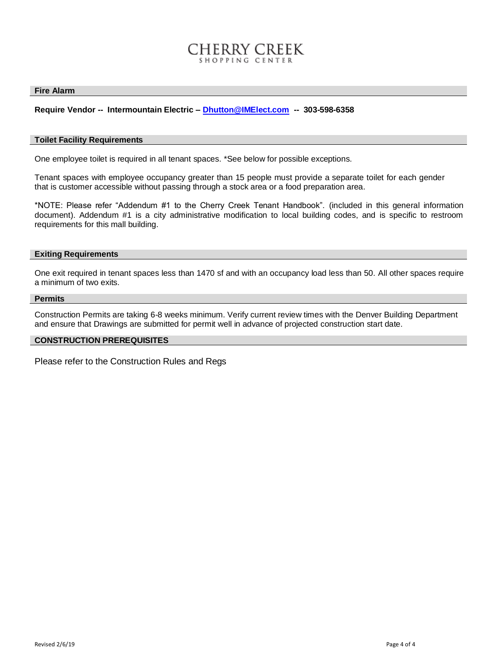# CHERRY CREEK

#### **Fire Alarm**

### **Require Vendor -- Intermountain Electric – [Dhutton@IMElect.com](mailto:Dhutton@IMElect.com) -- 303-598-6358**

#### **Toilet Facility Requirements**

One employee toilet is required in all tenant spaces. \*See below for possible exceptions.

Tenant spaces with employee occupancy greater than 15 people must provide a separate toilet for each gender that is customer accessible without passing through a stock area or a food preparation area.

\*NOTE: Please refer "Addendum #1 to the Cherry Creek Tenant Handbook". (included in this general information document). Addendum #1 is a city administrative modification to local building codes, and is specific to restroom requirements for this mall building.

#### **Exiting Requirements**

One exit required in tenant spaces less than 1470 sf and with an occupancy load less than 50. All other spaces require a minimum of two exits.

#### **Permits**

Construction Permits are taking 6-8 weeks minimum. Verify current review times with the Denver Building Department and ensure that Drawings are submitted for permit well in advance of projected construction start date.

#### **CONSTRUCTION PREREQUISITES**

Please refer to the Construction Rules and Regs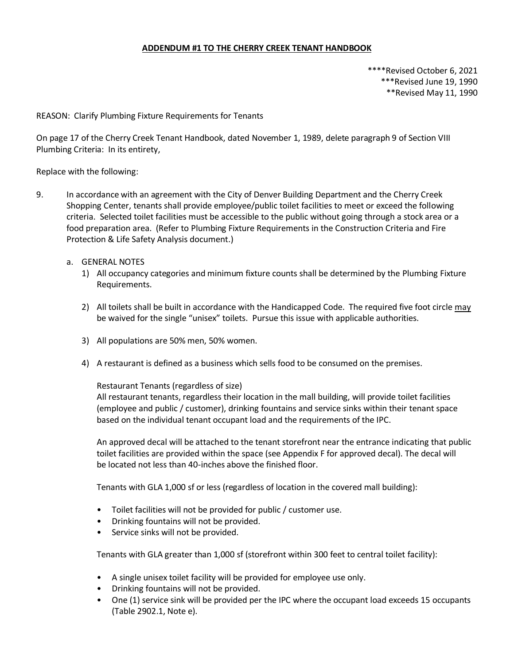### **ADDENDUM #1 TO THE CHERRY CREEK TENANT HANDBOOK**

\*\*\*\*Revised October 6, 2021 \*\*\*Revised June 19, 1990 \*\*Revised May 11, 1990

REASON: Clarify Plumbing Fixture Requirements for Tenants

On page 17 of the Cherry Creek Tenant Handbook, dated November 1, 1989, delete paragraph 9 of Section VIII Plumbing Criteria: In its entirety,

#### Replace with the following:

- 9. In accordance with an agreement with the City of Denver Building Department and the Cherry Creek Shopping Center, tenants shall provide employee/public toilet facilities to meet or exceed the following criteria. Selected toilet facilities must be accessible to the public without going through a stock area or a food preparation area. (Refer to Plumbing Fixture Requirements in the Construction Criteria and Fire Protection & Life Safety Analysis document.)
	- a. GENERAL NOTES
		- 1) All occupancy categories and minimum fixture counts shall be determined by the Plumbing Fixture Requirements.
		- 2) All toilets shall be built in accordance with the Handicapped Code. The required five foot circle may be waived for the single "unisex" toilets. Pursue this issue with applicable authorities.
		- 3) All populations are 50% men, 50% women.
		- 4) A restaurant is defined as a business which sells food to be consumed on the premises.

#### Restaurant Tenants (regardless of size)

All restaurant tenants, regardless their location in the mall building, will provide toilet facilities (employee and public / customer), drinking fountains and service sinks within their tenant space based on the individual tenant occupant load and the requirements of the IPC.

An approved decal will be attached to the tenant storefront near the entrance indicating that public toilet facilities are provided within the space (see Appendix F for approved decal). The decal will be located not less than 40-inches above the finished floor.

Tenants with GLA 1,000 sf or less (regardless of location in the covered mall building):

- Toilet facilities will not be provided for public / customer use.
- Drinking fountains will not be provided.
- Service sinks will not be provided.

Tenants with GLA greater than 1,000 sf (storefront within 300 feet to central toilet facility):

- A single unisex toilet facility will be provided for employee use only.
- Drinking fountains will not be provided.
- One (1) service sink will be provided per the IPC where the occupant load exceeds 15 occupants (Table 2902.1, Note e).